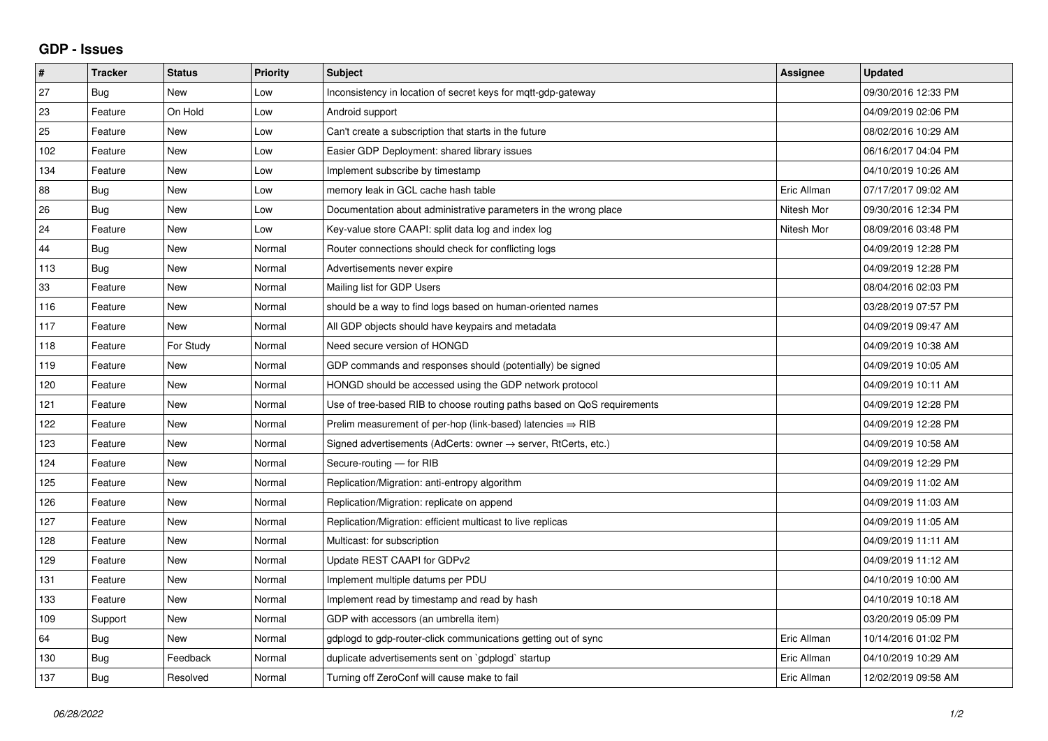## **GDP - Issues**

| $\pmb{\#}$ | <b>Tracker</b> | <b>Status</b> | <b>Priority</b> | <b>Subject</b>                                                          | Assignee    | <b>Updated</b>      |
|------------|----------------|---------------|-----------------|-------------------------------------------------------------------------|-------------|---------------------|
| 27         | Bug            | <b>New</b>    | Low             | Inconsistency in location of secret keys for mqtt-gdp-gateway           |             | 09/30/2016 12:33 PM |
| 23         | Feature        | On Hold       | Low             | Android support                                                         |             | 04/09/2019 02:06 PM |
| 25         | Feature        | <b>New</b>    | Low             | Can't create a subscription that starts in the future                   |             | 08/02/2016 10:29 AM |
| 102        | Feature        | <b>New</b>    | Low             | Easier GDP Deployment: shared library issues                            |             | 06/16/2017 04:04 PM |
| 134        | Feature        | New           | Low             | Implement subscribe by timestamp                                        |             | 04/10/2019 10:26 AM |
| 88         | Bug            | <b>New</b>    | Low             | memory leak in GCL cache hash table                                     | Eric Allman | 07/17/2017 09:02 AM |
| 26         | Bug            | <b>New</b>    | Low             | Documentation about administrative parameters in the wrong place        | Nitesh Mor  | 09/30/2016 12:34 PM |
| 24         | Feature        | New           | Low             | Key-value store CAAPI: split data log and index log                     | Nitesh Mor  | 08/09/2016 03:48 PM |
| 44         | Bug            | <b>New</b>    | Normal          | Router connections should check for conflicting logs                    |             | 04/09/2019 12:28 PM |
| 113        | Bug            | New           | Normal          | Advertisements never expire                                             |             | 04/09/2019 12:28 PM |
| 33         | Feature        | New           | Normal          | Mailing list for GDP Users                                              |             | 08/04/2016 02:03 PM |
| 116        | Feature        | <b>New</b>    | Normal          | should be a way to find logs based on human-oriented names              |             | 03/28/2019 07:57 PM |
| 117        | Feature        | <b>New</b>    | Normal          | All GDP objects should have keypairs and metadata                       |             | 04/09/2019 09:47 AM |
| 118        | Feature        | For Study     | Normal          | Need secure version of HONGD                                            |             | 04/09/2019 10:38 AM |
| 119        | Feature        | <b>New</b>    | Normal          | GDP commands and responses should (potentially) be signed               |             | 04/09/2019 10:05 AM |
| 120        | Feature        | <b>New</b>    | Normal          | HONGD should be accessed using the GDP network protocol                 |             | 04/09/2019 10:11 AM |
| 121        | Feature        | <b>New</b>    | Normal          | Use of tree-based RIB to choose routing paths based on QoS requirements |             | 04/09/2019 12:28 PM |
| 122        | Feature        | New           | Normal          | Prelim measurement of per-hop (link-based) latencies $\Rightarrow$ RIB  |             | 04/09/2019 12:28 PM |
| 123        | Feature        | <b>New</b>    | Normal          | Signed advertisements (AdCerts: owner → server, RtCerts, etc.)          |             | 04/09/2019 10:58 AM |
| 124        | Feature        | <b>New</b>    | Normal          | Secure-routing - for RIB                                                |             | 04/09/2019 12:29 PM |
| 125        | Feature        | New           | Normal          | Replication/Migration: anti-entropy algorithm                           |             | 04/09/2019 11:02 AM |
| 126        | Feature        | <b>New</b>    | Normal          | Replication/Migration: replicate on append                              |             | 04/09/2019 11:03 AM |
| 127        | Feature        | <b>New</b>    | Normal          | Replication/Migration: efficient multicast to live replicas             |             | 04/09/2019 11:05 AM |
| 128        | Feature        | New           | Normal          | Multicast: for subscription                                             |             | 04/09/2019 11:11 AM |
| 129        | Feature        | New           | Normal          | Update REST CAAPI for GDPv2                                             |             | 04/09/2019 11:12 AM |
| 131        | Feature        | New           | Normal          | Implement multiple datums per PDU                                       |             | 04/10/2019 10:00 AM |
| 133        | Feature        | <b>New</b>    | Normal          | Implement read by timestamp and read by hash                            |             | 04/10/2019 10:18 AM |
| 109        | Support        | New           | Normal          | GDP with accessors (an umbrella item)                                   |             | 03/20/2019 05:09 PM |
| 64         | <b>Bug</b>     | New           | Normal          | gdplogd to gdp-router-click communications getting out of sync          | Eric Allman | 10/14/2016 01:02 PM |
| 130        | Bug            | Feedback      | Normal          | duplicate advertisements sent on `gdplogd` startup                      | Eric Allman | 04/10/2019 10:29 AM |
| 137        | Bug            | Resolved      | Normal          | Turning off ZeroConf will cause make to fail                            | Eric Allman | 12/02/2019 09:58 AM |